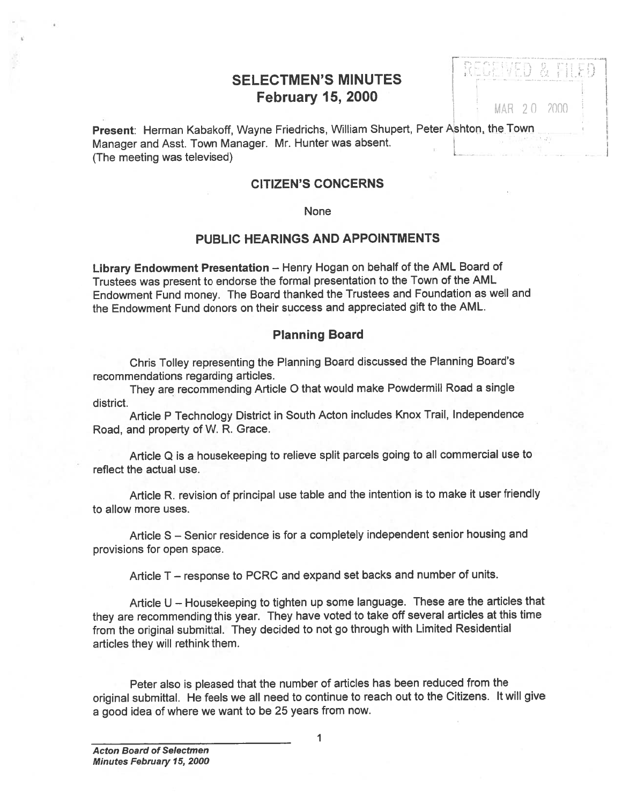# SELECTMEN'S MINUTES **February 15, 2000** MAR 20 2000

| Present: Herman Kabakoff, Wayne Friedrichs, William Shupert, Peter Ashton, the Town |  |
|-------------------------------------------------------------------------------------|--|
| Manager and Asst. Town Manager. Mr. Hunter was absent.                              |  |
| (The meeting was televised)                                                         |  |

# CITIZEN'S CONCERNS

#### None

# PUBLIC HEARINGS AND APPOINTMENTS

Library Endowment Presentation — Henry Hogan on behalf of the AML Board of Trustees was presen<sup>t</sup> to endorse the formal presentation to the Town of the AML Endowment Fund money. The Board thanked the Trustees and Foundation as well and the Endowment Fund donors on their success and appreciated gift to the AML.

### Planning Board

Chris Tolley representing the Planning Board discussed the Planning Board's recommendations regarding articles.

They are recommending Article <sup>0</sup> that would make Powdermill Road <sup>a</sup> single district.

Article <sup>P</sup> Technology District in South Acton includes Knox Trail, Independence Road, and property of W. R. Grace.

Article Q is <sup>a</sup> housekeeping to relieve split parcels going to all commercial use to reflect the actual use.

Article R. revision of principal use table and the intention is to make it user friendly to allow more uses.

Article S — Senior residence is for <sup>a</sup> completely independent senior housing and provisions for open space.

Article T – response to PCRC and expand set backs and number of units.

Article <sup>U</sup> — Housekeeping to tighten up some language. These are the articles that they are recommending this year. They have voted to take off several articles at this time from the original submittal. They decided to not go through with Limited Residential articles they will rethink them.

Peter also is <sup>p</sup>leased that the number of articles has been reduced from the original submittal. He feels we all need to continue to reach out to the Citizens. It will <sup>g</sup>ive <sup>a</sup> goo<sup>d</sup> idea of where we want to be <sup>25</sup> years from now.

1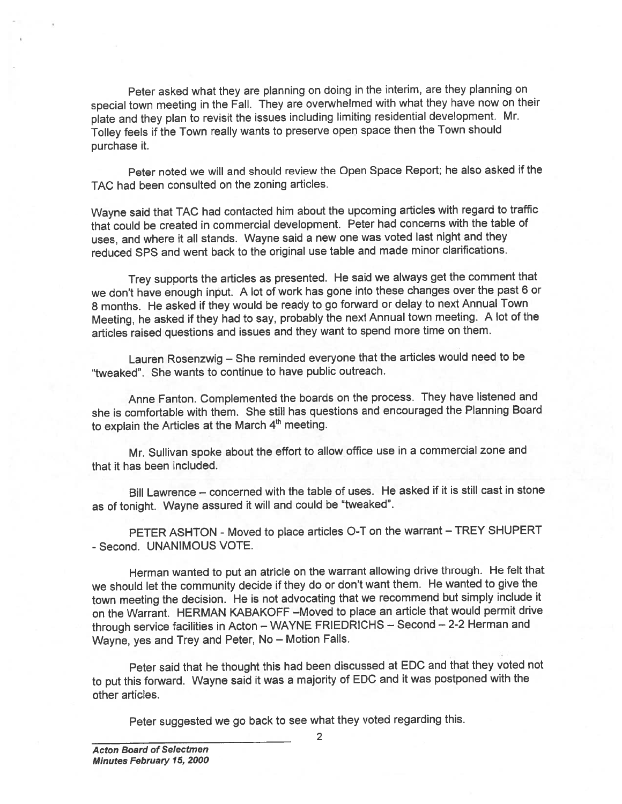Peter asked what they are <sup>p</sup>lanning on doing in the interim, are they <sup>p</sup>lanning on special town meeting in the Fall. They are overwhelmed with what they have now on their <sup>p</sup>late and they <sup>p</sup>lan to revisit the issues including limiting residential development. Mr. Tolley feels if the Town really wants to preserve open space then the Town should purchase it.

Peter noted we will and should review the Open Space Report; he also asked if the TAC had been consulted on the zoning articles.

Wayne said that TAC had contacted him about the upcoming articles with regar<sup>d</sup> to traffic that could be created in commercial development. Peter had concerns with the table of uses, and where it all stands. Wayne said <sup>a</sup> new one was voted last night and they reduced SPS and went back to the original use table and made minor clarifications.

Trey supports the articles as presented. He said we always ge<sup>t</sup> the comment that we don't have enoug<sup>h</sup> input. <sup>A</sup> lot of work has gone into these changes over the pas<sup>t</sup> <sup>6</sup> or <sup>8</sup> months. He asked if they would be ready to go forward or delay to next Annual Town Meeting, he asked if they had to say, probably the next Annual town meeting. <sup>A</sup> lot of the articles raised questions and issues and they want to spen<sup>d</sup> more time on them.

Lauren Rosenzwig — She reminded everyone that the articles would need to be tweaked". She wants to continue to have public outreach.

Anne Fanton. Complemented the boards on the process. They have listened and she is comfortable with them. She still has questions and encourage<sup>d</sup> the Planning Board to explain the Articles at the March 4<sup>th</sup> meeting.

Mr. Sullivan spoke about the effort to allow office use in <sup>a</sup> commercial zone and that it has been included.

Bill Lawrence — concerned with the table of uses. He asked if it is still cast in stone as of tonight. Wayne assured it will and could be "tweaked".

PETER ASHTON - Moved to <sup>p</sup>lace articles O-T on the warrant — TREY SHUPERT - Second. UNANIMOUS VOTE.

Herman wanted to pu<sup>t</sup> an atricle on the warrant allowing drive through. He felt that we should let the community decide if they do or don't want them. He wanted to <sup>g</sup>ive the town meeting the decision. He is not advocating that we recommend but simply include it on the Warrant. HERMAN KABAKOFF —Moved to <sup>p</sup>lace an article that would permit drive through service facilities in Acton — WAYNE FRIEDRICHS — Second — 2-2 Herman and Wayne, yes and Trey and Peter, No — Motion Fails.

Peter said that he thought this had been discussed at EDC and that they voted not to pu<sup>t</sup> this forward. Wayne said it was <sup>a</sup> majority of EDC and it was postponed with the other articles.

Peter suggested we go back to see what they voted regarding this.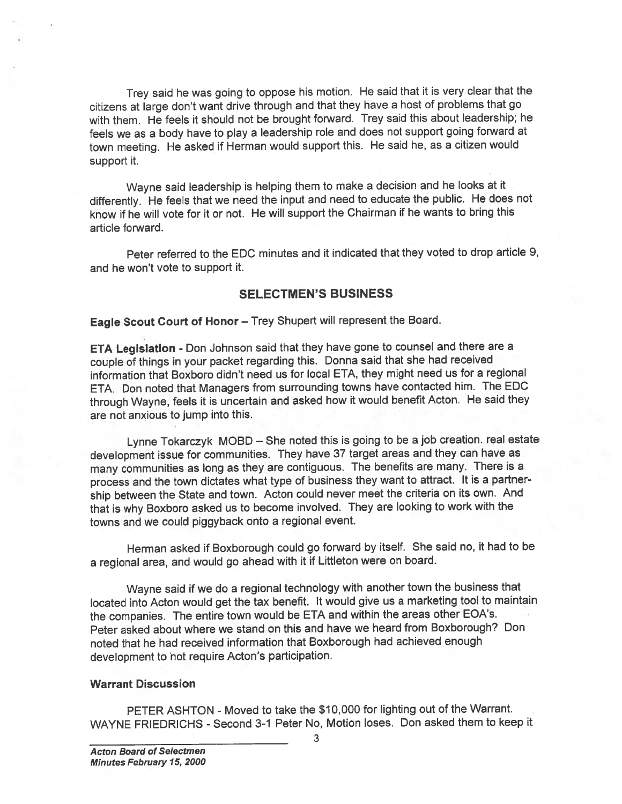Trey said he was going to oppose his motion. He said that it is very clear that the citizens at large don't want drive through and that they have <sup>a</sup> host of problems that go with them. He feels it should not be brought forward. Trey said this about leadership; he feels we as <sup>a</sup> body have to <sup>p</sup>lay <sup>a</sup> leadership role and does not suppor<sup>t</sup> going forward at town meeting. He asked if Herman would suppor<sup>t</sup> this. He said he, as <sup>a</sup> citizen would suppor<sup>t</sup> it.

Wayne said leadership is helping them to make <sup>a</sup> decision and he looks at it differently. He feels that we need the input and need to educate the public. He does not know if he will vote for it or not. He will suppor<sup>t</sup> the Chairman if he wants to bring this article forward.

Peter referred to the EDC minutes and it indicated that they voted to drop article 9, and he won't vote to suppor<sup>t</sup> it.

#### SELECTMEN'S BUSINESS

Eagle Scout Court of Honor — Trey Shupert will represen<sup>t</sup> the Board.

ETA Legislation - Don Johnson said that they have gone to counsel and there are <sup>a</sup> couple of things in your packet regarding this. Donna said that she had received information that Boxboro didn't need us for local ETA, they might need us for <sup>a</sup> regional ETA. Don noted that Managers from surrounding towns have contacted him. The EDC through Wayne, feels it is uncertain and asked how it would benefit Acton. He said they are not anxious to jump into this.

Lynne Tokarczyk MOBD — She noted this is going to be <sup>a</sup> job creation, real estate development issue for communities. They have <sup>37</sup> target areas and they can have as many communities as long as they are contiguous. The benefits are many. There is <sup>a</sup> process and the town dictates what type of business they want to attract, It is <sup>a</sup> partner ship between the State and town. Acton could never meet the criteria on its own. And that is why Boxboro asked us to become involved. They are looking to work with the towns and we could <sup>p</sup>iggyback onto <sup>a</sup> regional event.

Herman asked if Boxborough could go forward by itself. She said no, it had to be <sup>a</sup> regional area, and would go ahead with it if Littleton were on board.

Wayne said if we do <sup>a</sup> regional technology with another town the business that located into Acton would ge<sup>t</sup> the tax benefit. It would <sup>g</sup>ive us <sup>a</sup> marketing tool to maintain the companies. The entire town would be ETA and within the areas other EOA's. Peter asked about where we stand on this and have we heard from Boxborough? Don noted that he had received information that Boxborough had achieved enough development to not require Acton's participation.

#### Warrant Discussion

PETER ASHTON - Moved to take the \$10,000 for lighting out of the Warrant. WAYNE FRIEDRICHS -Second 3-1 Peter No, Motion loses. Don asked them to keep it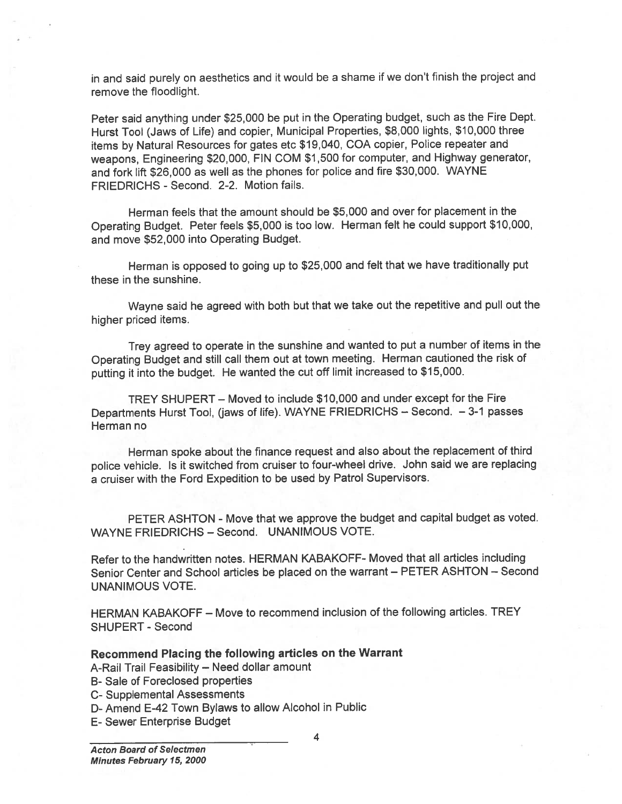in and said purely on aesthetics and it would be <sup>a</sup> shame if we don't finish the project and remove the floodlight.

Peter said anything under \$25,000 be pu<sup>t</sup> in the Operating budget, such as the Fire Dept. Hurst Tool (Jaws of Life) and copier, Municipal Properties, \$8,000 lights, \$10,000 three items by Natural Resources for gates etc \$19,040, COA copier, Police repeater and weapons, Engineering \$20,000, FIN COM \$1,500 for computer, and Highway generator, and fork lift \$26,000 as well as the <sup>p</sup>hones for police and fire \$30,000. WAYNE FRIEDRICHS - Second. 2-2. Motion fails.

Herman feels that the amount should be \$5,000 and over for placement in the Operating Budget. Peter feels \$5,000 is too low. Herman felt he could suppor<sup>t</sup> \$10,000, and move \$52,000 into Operating Budget.

Herman is oppose<sup>d</sup> to going up to \$25,000 and felt that we have traditionally pu<sup>t</sup> these in the sunshine.

Wayne said he agree<sup>d</sup> with both but that we take out the repetitive and pull out the higher priced items.

Trey agree<sup>d</sup> to operate in the sunshine and wanted to pu<sup>t</sup> <sup>a</sup> number of items in the Operating Budget and still call them out at town meeting. Herman cautioned the risk of putting it into the budget. He wanted the cut off limit increased to \$15,000.

TREY SHUPERT — Moved to include \$10,000 and under excep<sup>t</sup> for the Fire Departments Hurst Tool, (jaws of life). WAYNE FRIEDRICHS — Second. — 3-1 passes Herman no

Herman spoke about the finance reques<sup>t</sup> and also about the replacement of third police vehicle, Is it switched from cruiser to four-wheel drive. John said we are replacing <sup>a</sup> cruiser with the Ford Expedition to be used by Patrol Supervisors.

PETER ASHTON - Move that we approve the budget and capital budget as voted. WAYNE FRIEDRICHS - Second. UNANIMOUS VOTE.

Refer to the handwritten notes. HERMAN KABAKOFF- Moved that all articles including Senior Center and School articles be placed on the warrant — PETER ASHTON — Second UNANIMOUS VOTE.

HERMAN KABAKOFF — Move to recommend inclusion of the following articles. TREY SHUPERT - Second

## Recommend Placing the following articles on the Warrant

- A-Rail Trail Feasibility Need dollar amount
- B- Sale of Foreclosed properties
- C- Supplemental Assessments
- D- Amend E-42 Town Bylaws to allow Alcohol in Public
- E- Sewer Enterprise Budget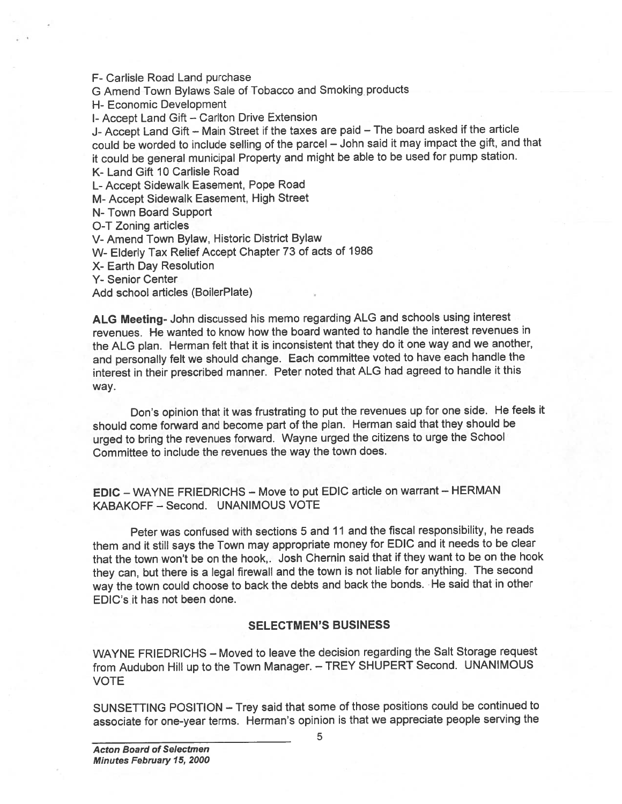F- Carlisle Road Land purchase

<sup>G</sup> Amend Town Bylaws Sale of Tobacco and Smoking products

H- Economic Development

I- Accept Land Gift — Carlton Drive Extension

J- Accept Land Gift — Main Street if the taxes are paid — The board asked if the article could be worded to include selling of the parce<sup>l</sup> — John said it may impact the <sup>g</sup>ift, and that it could be genera<sup>l</sup> municipal Property and might be able to be used for pump station.

K- Land Gift 10 Carlisle Road

L- Accept Sidewalk Easement, Pope Road

M- Accept Sidewalk Easement, High Street

N- Town Board Support

O-T Zoning articles

V- Amend Town Bylaw, Historic District Bylaw

W- Elderly Tax Relief Accept Chapter <sup>73</sup> of acts of <sup>1986</sup>

X- Earth Day Resolution

Y- Senior Center

Add school articles (BoilerPlate)

ALG Meeting- John discussed his memo regarding ALG and schools using interest revenues. He wanted to know how the board wanted to handle the interest revenues in the ALG <sup>p</sup>lan. Herman felt that it is inconsistent that they do it one way and we another, and personally felt we should change. Each committee voted to have each handle the interest in their prescribed manner. Peter noted that ALG had agree<sup>d</sup> to handle it this way.

Don's opinion that it was frustrating to pu<sup>t</sup> the revenues up for one side. He feels it should come forward and become par<sup>t</sup> of the <sup>p</sup>lan. Herman said that they should be urge<sup>d</sup> to bring the revenues forward. Wayne urge<sup>d</sup> the citizens to urge the School Committee to include the revenues the way the town does.

EDIC — WAYNE FRIEDRICHS — Move to pu<sup>t</sup> EDIC article on warrant — HERMAN KABAKOFF — Second. UNANIMOUS VOTE

Peter was confused with sections 5 and 11 and the fiscal responsibility, he reads them and it still says the Town may appropriate money for EDIC and it needs to be clear that the town won't be on the hook,. Josh Chernin said that if they want to be on the hook they can, but there is <sup>a</sup> legal firewall and the town is not liable for anything. The second way the town could choose to back the debts and back the bonds. He said that in other EDIC's it has not been done.

#### SELECTMEN'S BUSINESS

WAYNE FRIEDRICHS — Moved to leave the decision regarding the Salt Storage reques<sup>t</sup> from Audubon Hill up to the Town Manager. — TREY SHUPERT Second. UNANIMOUS VOTE

SUNSETTING POSITION —Trey said that some of those positions could be continued to associate for one-year terms. Herman's opinion is that we appreciate people serving the